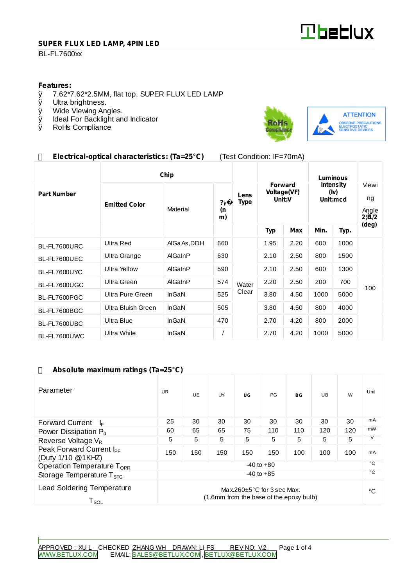

#### **SUPER FLUX LED LAMP, 4PIN LED**

### **BL-FL7600xx**

# **Features:**<br>0 7.62\*7

- $\emptyset$  7.62\*7.62\*2.5MM, flat top, SUPER FLUX LED LAMP  $\emptyset$  Ultra brightness.
- Ø Ultra brightness.<br>Ø Wide Viewing An
- Wide Viewing Angles.
- Ø Ideal For Backlight and Indicator<br>Ø RoHs Compliance
- RoHs Compliance



## **Electrical-optical characteristics: (Ta=25°C)** (Test Condition: IF=70mA)

|                    | Chip                 |              |                            |                     | Luminous                                |      |                                      |      |                                         |
|--------------------|----------------------|--------------|----------------------------|---------------------|-----------------------------------------|------|--------------------------------------|------|-----------------------------------------|
| <b>Part Number</b> | <b>Emitted Color</b> | Material     | ? <sub>P</sub><br>(n<br>m) | Lens<br><b>Type</b> | <b>Forward</b><br>Voltage(VF)<br>Unit:V |      | <b>Intensity</b><br>(iv)<br>Unit:mcd |      | Viewi<br>ng<br>Angle<br>$2!\tilde{H}/2$ |
|                    |                      |              |                            |                     | <b>Typ</b>                              | Max  | Min.                                 | Typ. | (deg)                                   |
| BL-FL7600URC       | <b>Ultra Red</b>     | AIGa As, DDH | 660                        |                     | 1.95                                    | 2.20 | 600                                  | 1000 | 100                                     |
| BL-FL7600UEC       | Ultra Orange         | AlGaInP      | 630                        |                     | 2.10                                    | 2.50 | 800                                  | 1500 |                                         |
| BL-FL7600UYC       | <b>Ultra Yellow</b>  | AlGaInP      | 590                        |                     | 2.10                                    | 2.50 | 600                                  | 1300 |                                         |
| BL-FL7600UGC       | Ultra Green          | AlGaInP      | 574                        | Water               | 2.20                                    | 2.50 | 200                                  | 700  |                                         |
| BL-FL7600PGC       | Ultra Pure Green     | InGaN        | 525                        | Clear               | 3.80                                    | 4.50 | 1000                                 | 5000 |                                         |
| BL-FL7600BGC       | Ultra Bluish Green   | InGaN        | 505                        |                     | 3.80                                    | 4.50 | 800                                  | 4000 |                                         |
| BL-FL7600UBC       | Ultra Blue           | InGaN        | 470                        |                     | 2.70                                    | 4.20 | 800                                  | 2000 |                                         |
| BL-FL7600UWC       | Ultra White          | InGaN        |                            |                     | 2.70                                    | 4.20 | 1000                                 | 5000 |                                         |

#### **Absolute maximum ratings (Ta=25°C)**

| Parameter                                                                                                                               | <b>UR</b>      | <b>UE</b> | UY  | UG  | PG           | BG  | UB  | W   | Unit |
|-----------------------------------------------------------------------------------------------------------------------------------------|----------------|-----------|-----|-----|--------------|-----|-----|-----|------|
| <b>Forward Current</b><br>ŀ⊧                                                                                                            | 25             | 30        | 30  | 30  | 30           | 30  | 30  | 30  | mA   |
| Power Dissipation $P_d$                                                                                                                 | 60             | 65        | 65  | 75  | 110          | 110 | 120 | 120 | mW   |
| Reverse Voltage $V_R$                                                                                                                   | 5              | 5         | 5   | 5   | 5            | 5   | 5   | 5   | V    |
| Peak Forward Current I <sub>PF</sub><br>(Duty 1/10 @1KHZ)                                                                               | 150            | 150       | 150 | 150 | 150          | 100 | 100 | 100 | mA   |
| Operation Temperature T <sub>OPR</sub>                                                                                                  | $-40$ to $+80$ |           |     |     |              |     |     |     | °С   |
| $-40$ to $+85$<br>Storage Temperature $T_{STG}$                                                                                         |                |           |     |     | $^{\circ}$ C |     |     |     |      |
| <b>Lead Soldering Temperature</b><br>Max.260 $\pm$ 5°C for 3 sec Max.<br>(1.6mm from the base of the epoxy bulb)<br>${\sf T}_{\sf SOL}$ |                |           |     |     |              |     | °€  |     |      |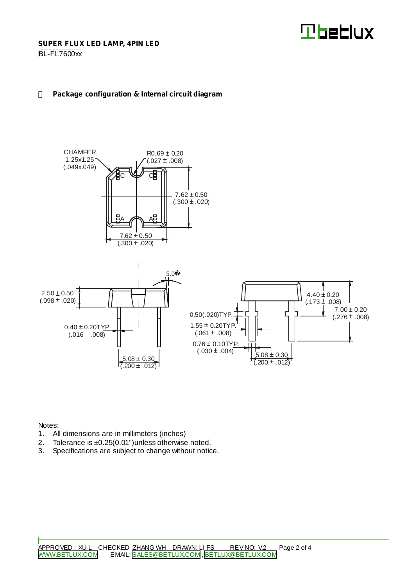BL-FL7600xx

# **Package configuration & Internal circuit diagram**



Notes:

- 1. All dimensions are in millimeters (inches)
- 2. Tolerance is ±0.25(0.01")unless otherwise noted.
- 3. Specifications are subject to change without notice.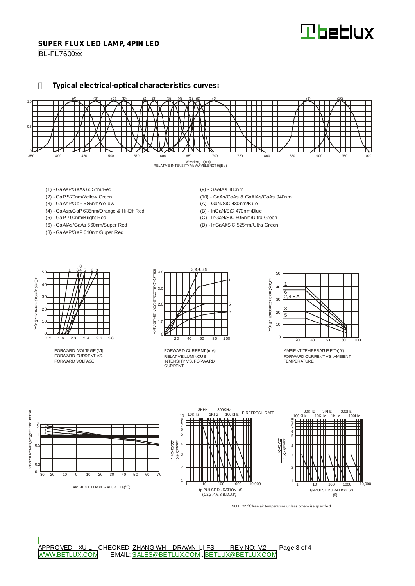#### **SUPER FLUX LED LAMP, 4PIN LED**

BL-FL7600xx

**Typical electrical-optical characteristics curves:**



- (1) GaAsP/GaAs 655nm/Red
- (2) GaP 570nm/Yellow Green
- (3) GaAsP/GaP 585nm/Yellow
- (4) GaAsp/GaP 635nm/Orange & Hi-Eff Red
- (5) GaP 700nm/Bright Red
- (6) GaAlAs/GaAs 660nm/Super Red (8) - GaAsP/GaP 610nm/Super Red
- (9) GaAlAs 880nm
- (10) GaAs/GaAs & GaAlAs/GaAs 940nm
- (A) GaN/SiC 430nm/Blue
- (B) InGaN/SiC 470nm/Blue
- (C) InGaN/SiC 505nm/Ultra Green (D) - InGaAl/SiC 525nm/Ultra Green

50 40 30  $\mathcal{D}$ 10  $rac{0}{1.2}$ 1.2 1.6 2.0 2.4 2.6 3.0 1 645 23 8 EORWARD CURRINT [mA]

FORWARD VOLTAGE (Vf) FORWARD CURRENT VS. FORWARD VOLTAGE



RELATIVE LUMINOUS INTENSITY VS. FORWARD CURRENT FORWARD CURRENT (mA)



AMBIENT TEMPERATURE Ta( ) FORWARD CURRENTVS. AMBIENT TEMPERATURE



NOTE:25 free air temperature unless otherwise specified